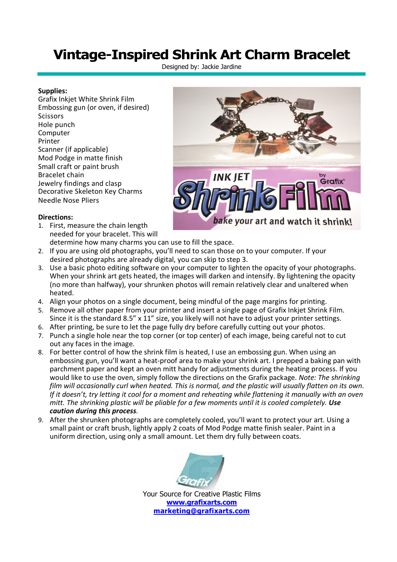## **Vintage-Inspired Shrink Art Charm Bracelet**

Designed by: Jackie Jardine

INK IET

**Grafix®** 

## **Supplies:**

Grafix Inkjet White Shrink Film Embossing gun (or oven, if desired) Scissors Hole punch Computer Printer Scanner (if applicable) Mod Podge in matte finish Small craft or paint brush Bracelet chain Jewelry findings and clasp Decorative Skeleton Key Charms Needle Nose Pliers

## **Directions:**

- bake your art and watch it shrink! 1. First, measure the chain length needed for your bracelet. This will determine how many charms you can use to fill the space.
- 2. If you are using old photographs, you'll need to scan those on to your computer. If your desired photographs are already digital, you can skip to step 3.
- 3. Use a basic photo editing software on your computer to lighten the opacity of your photographs. When your shrink art gets heated, the images will darken and intensify. By lightening the opacity (no more than halfway), your shrunken photos will remain relatively clear and unaltered when heated.
- 4. Align your photos on a single document, being mindful of the page margins for printing.
- 5. Remove all other paper from your printer and insert a single page of Grafix Inkjet Shrink Film. Since it is the standard 8.5" x 11" size, you likely will not have to adjust your printer settings.
- 6. After printing, be sure to let the page fully dry before carefully cutting out your photos.
- 7. Punch a single hole near the top corner (or top center) of each image, being careful not to cut out any faces in the image.
- 8. For better control of how the shrink film is heated, I use an embossing gun. When using an embossing gun, you'll want a heat-proof area to make your shrink art. I prepped a baking pan with parchment paper and kept an oven mitt handy for adjustments during the heating process. If you would like to use the oven, simply follow the directions on the Grafix package. *Note: The shrinking film will occasionally curl when heated. This is normal, and the plastic will usually flatten on its own. If it doesn't, try letting it cool for a moment and reheating while flattening it manually with an oven mitt. The shrinking plastic will be pliable for a few moments until it is cooled completely. Use caution during this process.*
- 9. After the shrunken photographs are completely cooled, you'll want to protect your art. Using a small paint or craft brush, lightly apply 2 coats of Mod Podge matte finish sealer. Paint in a uniform direction, using only a small amount. Let them dry fully between coats.



Your Source for Creative Plastic Films **www.grafixarts.com marketing@grafixarts.com**